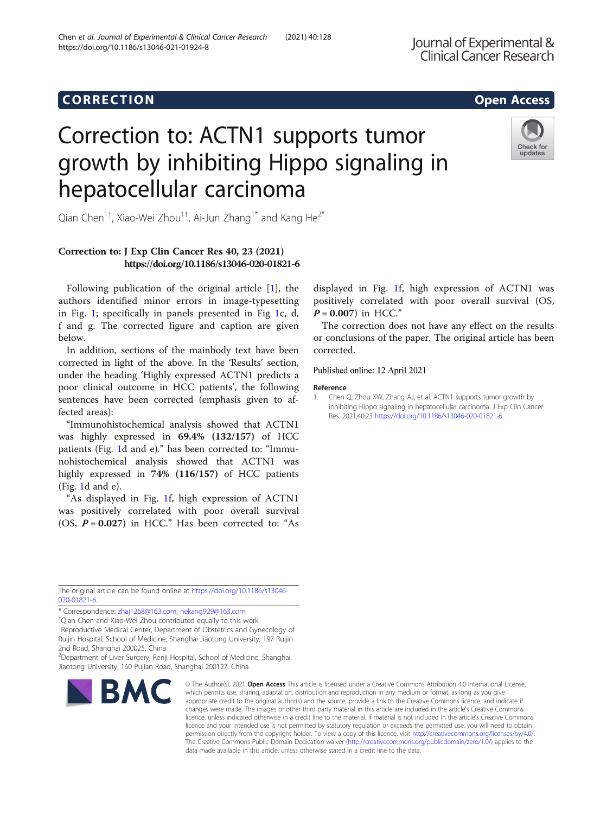## Chen et al. Journal of Experimental & Clinical Cancer Research (2021) 40:128 https://doi.org/10.1186/s13046-021-01924-8

# Correction to: ACTN1 supports tumor growth by inhibiting Hippo signaling in hepatocellular carcinoma



Qian Chen $^{1+}$ , Xiao-Wei Zhou $^{1+}$ , Ai-Jun Zhang $^{1*}$  and Kang He $^{2^*}$ 

# Correction to: J Exp Clin Cancer Res 40, 23 (2021) https://doi.org/10.1186/s13046-020-01821-6

Following publication of the original article [1], the authors identified minor errors in image-typesetting in Fig. [1](#page-1-0); specifically in panels presented in Fig [1](#page-1-0)c, d, f and g. The corrected figure and caption are given below.

In addition, sections of the mainbody text have been corrected in light of the above. In the 'Results' section, under the heading 'Highly expressed ACTN1 predicts a poor clinical outcome in HCC patients', the following sentences have been corrected (emphasis given to affected areas):

"Immunohistochemical analysis showed that ACTN1 was highly expressed in 69.4% (132/157) of HCC patients (Fig. [1](#page-1-0)d and e)." has been corrected to: "Immunohistochemical analysis showed that ACTN1 was highly expressed in 74% (116/157) of HCC patients (Fig. [1](#page-1-0)d and e).

"As displayed in Fig. [1f](#page-1-0), high expression of ACTN1 was positively correlated with poor overall survival (OS,  $P = 0.027$ ) in HCC." Has been corrected to: "As

displayed in Fig. [1f](#page-1-0), high expression of ACTN1 was positively correlated with poor overall survival (OS,  $P = 0.007$ ) in HCC."

The correction does not have any effect on the results or conclusions of the paper. The original article has been corrected.

Published online: 12 April 2021

### Reference

The original article can be found online at [https://doi.org/10.1186/s13046-](https://doi.org/10.1186/s13046-020-01821-6) [020-01821-6](https://doi.org/10.1186/s13046-020-01821-6).

\* Correspondence: [zhaj1268@163.com;](mailto:zhaj1268@163.com) [hekang929@163.com](mailto:hekang929@163.com) †

<sup>†</sup>Qian Chen and Xiao-Wei Zhou contributed equally to this work.

<sup>1</sup> Reproductive Medical Center, Department of Obstetrics and Gynecology of Ruijin Hospital, School of Medicine, Shanghai Jiaotong University, 197 Ruijin 2nd Road, Shanghai 200025, China

2 Department of Liver Surgery, Renji Hospital, School of Medicine, Shanghai Jiaotong University, 160 Pujian Road, Shanghai 200127, China



© The Author(s), 2021 **Open Access** This article is licensed under a Creative Commons Attribution 4.0 International License, which permits use, sharing, adaptation, distribution and reproduction in any medium or format, as long as you give appropriate credit to the original author(s) and the source, provide a link to the Creative Commons licence, and indicate if changes were made. The images or other third party material in this article are included in the article's Creative Commons licence, unless indicated otherwise in a credit line to the material. If material is not included in the article's Creative Commons licence and your intended use is not permitted by statutory regulation or exceeds the permitted use, you will need to obtain permission directly from the copyright holder. To view a copy of this licence, visit [http://creativecommons.org/licenses/by/4.0/.](http://creativecommons.org/licenses/by/4.0/) The Creative Commons Public Domain Dedication waiver [\(http://creativecommons.org/publicdomain/zero/1.0/](http://creativecommons.org/publicdomain/zero/1.0/)) applies to the data made available in this article, unless otherwise stated in a credit line to the data.

<sup>1.</sup> Chen Q, Zhou XW, Zhang AJ, et al. ACTN1 supports tumor growth by inhibiting Hippo signaling in hepatocellular carcinoma. J Exp Clin Cancer Res. 2021;40:23 <https://doi.org/10.1186/s13046-020-01821-6>.